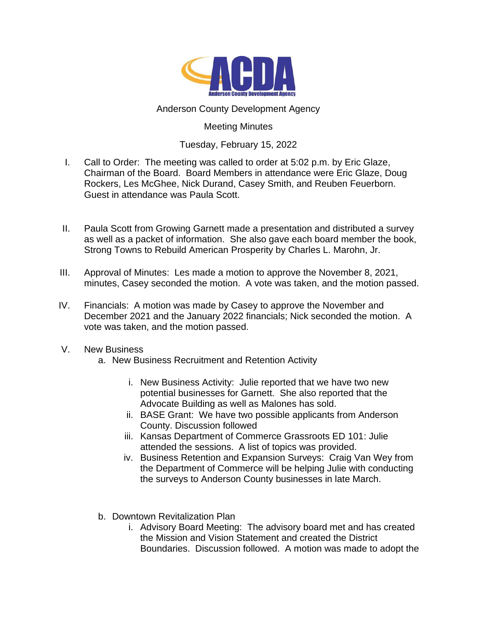

## Anderson County Development Agency

## Meeting Minutes

## Tuesday, February 15, 2022

- I. Call to Order: The meeting was called to order at 5:02 p.m. by Eric Glaze, Chairman of the Board. Board Members in attendance were Eric Glaze, Doug Rockers, Les McGhee, Nick Durand, Casey Smith, and Reuben Feuerborn. Guest in attendance was Paula Scott.
- II. Paula Scott from Growing Garnett made a presentation and distributed a survey as well as a packet of information. She also gave each board member the book, Strong Towns to Rebuild American Prosperity by Charles L. Marohn, Jr.
- III. Approval of Minutes: Les made a motion to approve the November 8, 2021, minutes, Casey seconded the motion. A vote was taken, and the motion passed.
- IV. Financials: A motion was made by Casey to approve the November and December 2021 and the January 2022 financials; Nick seconded the motion. A vote was taken, and the motion passed.
- V. New Business
	- a. New Business Recruitment and Retention Activity
		- i. New Business Activity: Julie reported that we have two new potential businesses for Garnett. She also reported that the Advocate Building as well as Malones has sold.
		- ii. BASE Grant: We have two possible applicants from Anderson County. Discussion followed
		- iii. Kansas Department of Commerce Grassroots ED 101: Julie attended the sessions. A list of topics was provided.
		- iv. Business Retention and Expansion Surveys: Craig Van Wey from the Department of Commerce will be helping Julie with conducting the surveys to Anderson County businesses in late March.
	- b. Downtown Revitalization Plan
		- i. Advisory Board Meeting: The advisory board met and has created the Mission and Vision Statement and created the District Boundaries. Discussion followed. A motion was made to adopt the